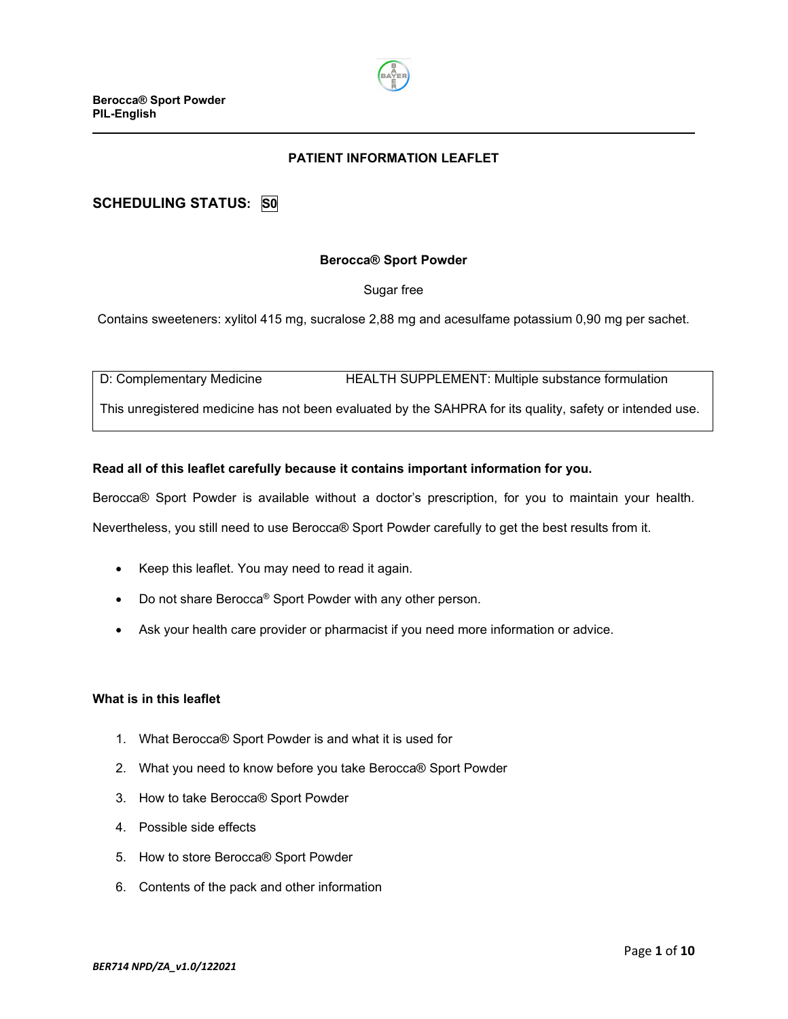

# **PATIENT INFORMATION LEAFLET**

# **SCHEDULING STATUS: S0**

#### **Berocca® Sport Powder**

#### Sugar free

Contains sweeteners: xylitol 415 mg, sucralose 2,88 mg and acesulfame potassium 0,90 mg per sachet.

D: Complementary Medicine **HEALTH SUPPLEMENT: Multiple substance formulation** 

This unregistered medicine has not been evaluated by the SAHPRA for its quality, safety or intended use.

#### **Read all of this leaflet carefully because it contains important information for you.**

Berocca® Sport Powder is available without a doctor's prescription, for you to maintain your health.

Nevertheless, you still need to use Berocca® Sport Powder carefully to get the best results from it.

- Keep this leaflet. You may need to read it again.
- Do not share Berocca® Sport Powder with any other person.
- Ask your health care provider or pharmacist if you need more information or advice.

#### **What is in this leaflet**

- 1. What Berocca® Sport Powder is and what it is used for
- 2. What you need to know before you take Berocca® Sport Powder
- 3. How to take Berocca® Sport Powder
- 4. Possible side effects
- 5. How to store Berocca® Sport Powder
- 6. Contents of the pack and other information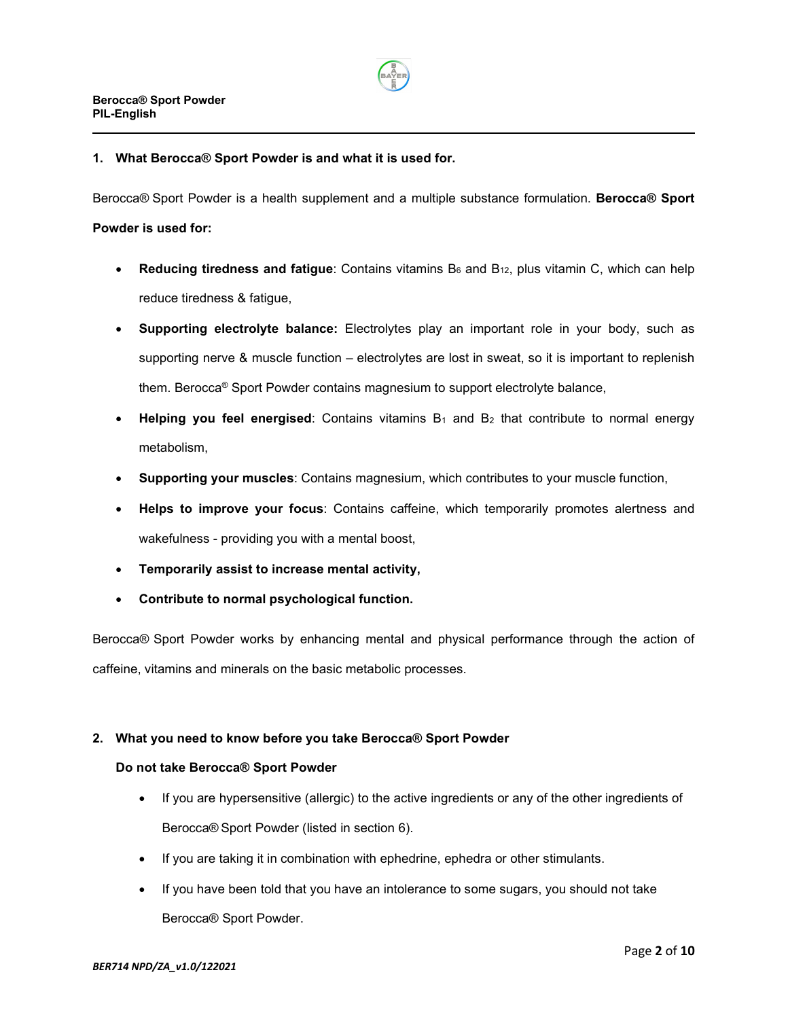

#### **1. What Berocca® Sport Powder is and what it is used for.**

Berocca® Sport Powder is a health supplement and a multiple substance formulation. **Berocca® Sport**

#### **Powder is used for:**

- **Reducing tiredness and fatigue**: Contains vitamins B<sub>6</sub> and B<sub>12</sub>, plus vitamin C, which can help reduce tiredness & fatigue,
- **Supporting electrolyte balance:** Electrolytes play an important role in your body, such as supporting nerve & muscle function – electrolytes are lost in sweat, so it is important to replenish them. Berocca® Sport Powder contains magnesium to support electrolyte balance,
- **Helping you feel energised**: Contains vitamins  $B_1$  and  $B_2$  that contribute to normal energy metabolism,
- **Supporting your muscles**: Contains magnesium, which contributes to your muscle function,
- **Helps to improve your focus**: Contains caffeine, which temporarily promotes alertness and wakefulness - providing you with a mental boost,
- **Temporarily assist to increase mental activity,**
- **Contribute to normal psychological function.**

Berocca® Sport Powder works by enhancing mental and physical performance through the action of caffeine, vitamins and minerals on the basic metabolic processes.

#### **2. What you need to know before you take Berocca® Sport Powder**

#### **Do not take Berocca® Sport Powder**

- If you are hypersensitive (allergic) to the active ingredients or any of the other ingredients of Berocca® Sport Powder (listed in section 6).
- If you are taking it in combination with ephedrine, ephedra or other stimulants.
- If you have been told that you have an intolerance to some sugars, you should not take Berocca® Sport Powder.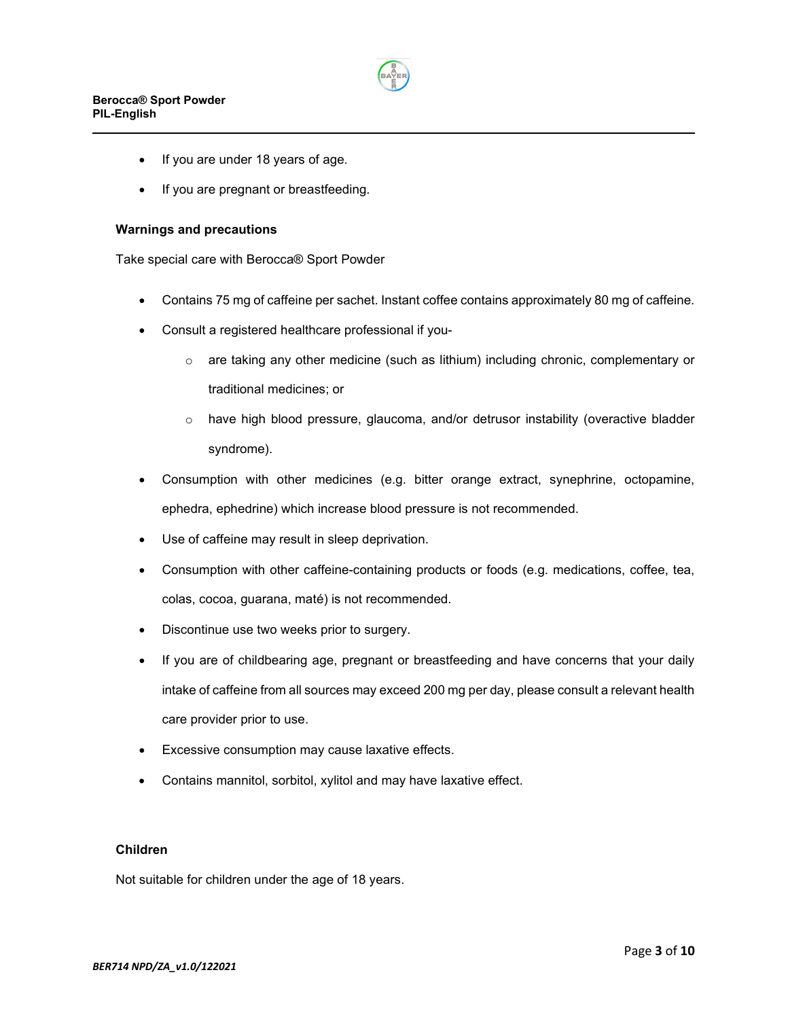

- If you are under 18 years of age.
- If you are pregnant or breastfeeding.

#### **Warnings and precautions**

Take special care with Berocca® Sport Powder

- Contains 75 mg of caffeine per sachet. Instant coffee contains approximately 80 mg of caffeine.
- Consult a registered healthcare professional if you
	- o are taking any other medicine (such as lithium) including chronic, complementary or traditional medicines; or
	- $\circ$  have high blood pressure, glaucoma, and/or detrusor instability (overactive bladder syndrome).
- Consumption with other medicines (e.g. bitter orange extract, synephrine, octopamine, ephedra, ephedrine) which increase blood pressure is not recommended.
- Use of caffeine may result in sleep deprivation.
- Consumption with other caffeine-containing products or foods (e.g. medications, coffee, tea, colas, cocoa, guarana, maté) is not recommended.
- Discontinue use two weeks prior to surgery.
- If you are of childbearing age, pregnant or breastfeeding and have concerns that your daily intake of caffeine from all sources may exceed 200 mg per day, please consult a relevant health care provider prior to use.
- Excessive consumption may cause laxative effects.
- Contains mannitol, sorbitol, xylitol and may have laxative effect.

# **Children**

Not suitable for children under the age of 18 years.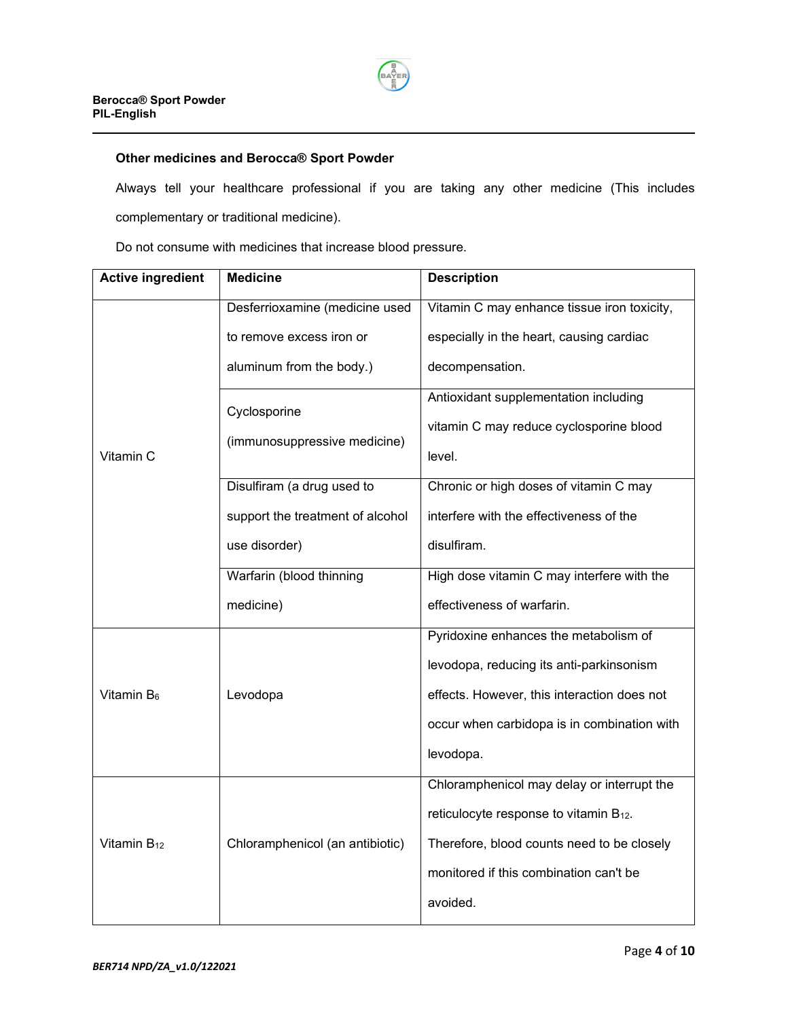

# **Other medicines and Berocca® Sport Powder**

Always tell your healthcare professional if you are taking any other medicine (This includes complementary or traditional medicine).

Do not consume with medicines that increase blood pressure.

| <b>Active ingredient</b> | <b>Medicine</b>                              | <b>Description</b>                                 |
|--------------------------|----------------------------------------------|----------------------------------------------------|
| Vitamin C                | Desferrioxamine (medicine used               | Vitamin C may enhance tissue iron toxicity,        |
|                          | to remove excess iron or                     | especially in the heart, causing cardiac           |
|                          | aluminum from the body.)                     | decompensation.                                    |
|                          | Cyclosporine<br>(immunosuppressive medicine) | Antioxidant supplementation including              |
|                          |                                              | vitamin C may reduce cyclosporine blood            |
|                          |                                              | level.                                             |
|                          | Disulfiram (a drug used to                   | Chronic or high doses of vitamin C may             |
|                          | support the treatment of alcohol             | interfere with the effectiveness of the            |
|                          | use disorder)                                | disulfiram.                                        |
|                          | Warfarin (blood thinning                     | High dose vitamin C may interfere with the         |
|                          | medicine)                                    | effectiveness of warfarin.                         |
| Vitamin B <sub>6</sub>   | Levodopa                                     | Pyridoxine enhances the metabolism of              |
|                          |                                              | levodopa, reducing its anti-parkinsonism           |
|                          |                                              | effects. However, this interaction does not        |
|                          |                                              | occur when carbidopa is in combination with        |
|                          |                                              | levodopa.                                          |
| Vitamin $B_{12}$         | Chloramphenicol (an antibiotic)              | Chloramphenicol may delay or interrupt the         |
|                          |                                              | reticulocyte response to vitamin B <sub>12</sub> . |
|                          |                                              | Therefore, blood counts need to be closely         |
|                          |                                              | monitored if this combination can't be             |
|                          |                                              | avoided.                                           |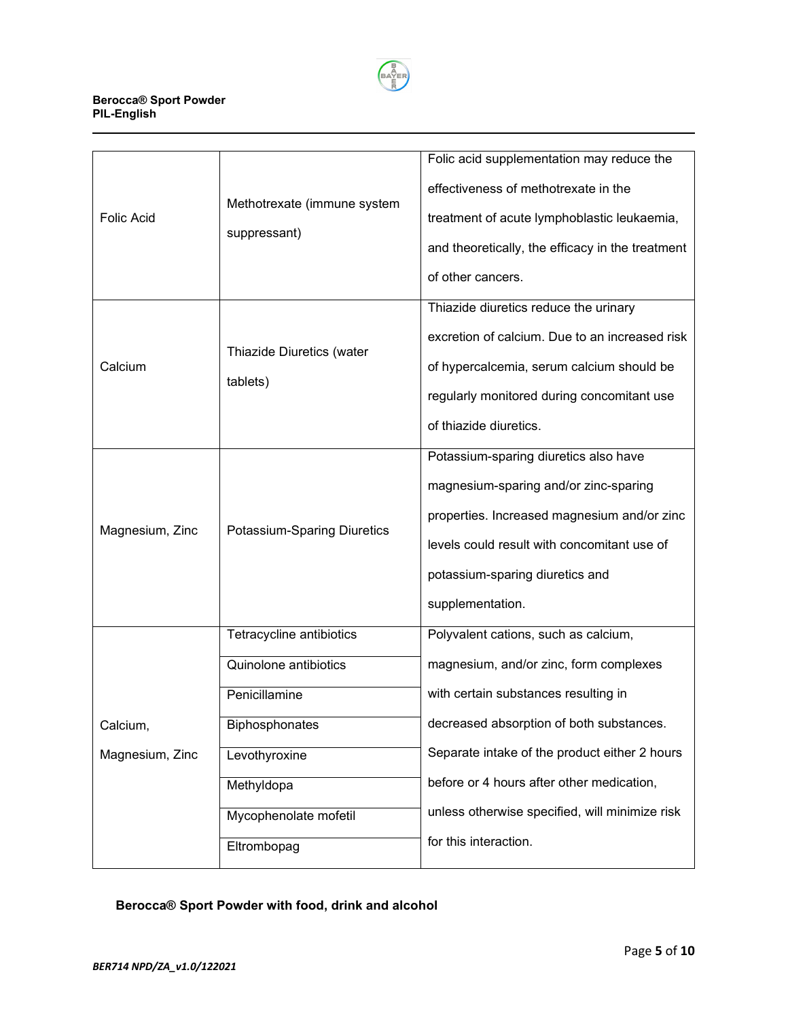

#### **Berocca® Sport Powder PIL-English**

|                   |                                             | Folic acid supplementation may reduce the        |
|-------------------|---------------------------------------------|--------------------------------------------------|
| <b>Folic Acid</b> | Methotrexate (immune system<br>suppressant) | effectiveness of methotrexate in the             |
|                   |                                             | treatment of acute lymphoblastic leukaemia,      |
|                   |                                             | and theoretically, the efficacy in the treatment |
|                   |                                             | of other cancers.                                |
| Calcium           | Thiazide Diuretics (water<br>tablets)       | Thiazide diuretics reduce the urinary            |
|                   |                                             | excretion of calcium. Due to an increased risk   |
|                   |                                             | of hypercalcemia, serum calcium should be        |
|                   |                                             | regularly monitored during concomitant use       |
|                   |                                             | of thiazide diuretics.                           |
| Magnesium, Zinc   | Potassium-Sparing Diuretics                 | Potassium-sparing diuretics also have            |
|                   |                                             | magnesium-sparing and/or zinc-sparing            |
|                   |                                             | properties. Increased magnesium and/or zinc      |
|                   |                                             | levels could result with concomitant use of      |
|                   |                                             | potassium-sparing diuretics and                  |
|                   |                                             | supplementation.                                 |
|                   | Tetracycline antibiotics                    | Polyvalent cations, such as calcium,             |
|                   | Quinolone antibiotics                       | magnesium, and/or zinc, form complexes           |
|                   | Penicillamine                               | with certain substances resulting in             |
| Calcium,          | Biphosphonates                              | decreased absorption of both substances.         |
| Magnesium, Zinc   | Levothyroxine                               | Separate intake of the product either 2 hours    |
|                   | Methyldopa                                  | before or 4 hours after other medication,        |
|                   | Mycophenolate mofetil                       | unless otherwise specified, will minimize risk   |
|                   | Eltrombopag                                 | for this interaction.                            |

# **Berocca® Sport Powder with food, drink and alcohol**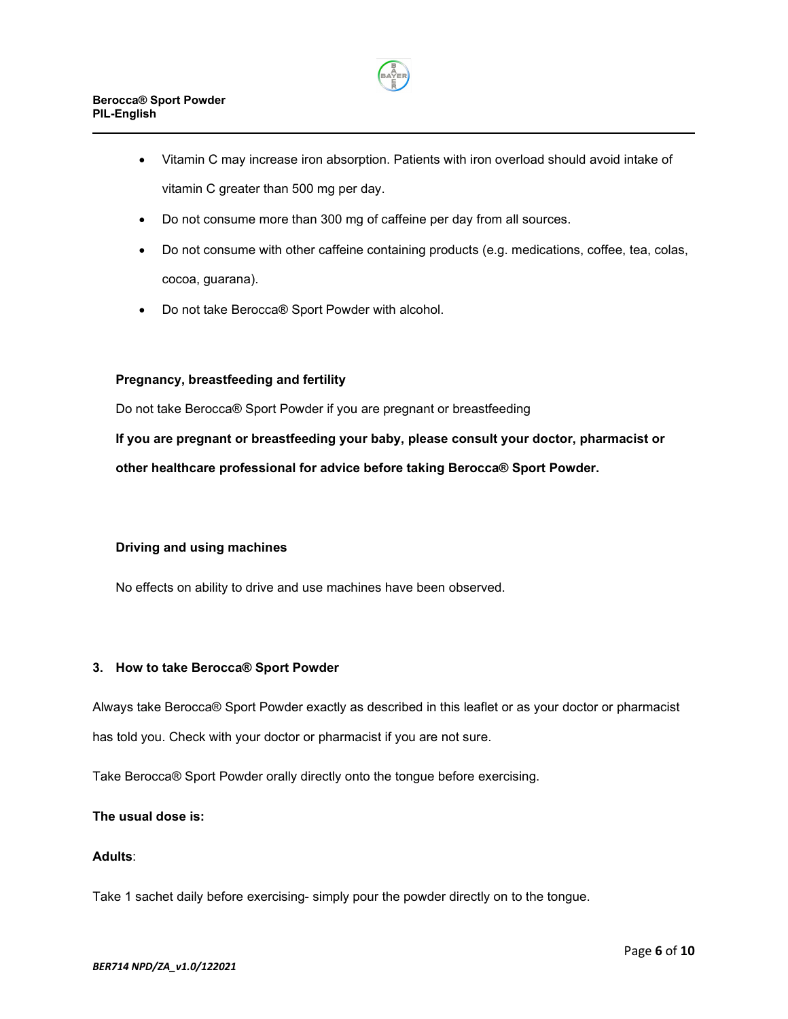

- Vitamin C may increase iron absorption. Patients with iron overload should avoid intake of vitamin C greater than 500 mg per day.
- Do not consume more than 300 mg of caffeine per day from all sources.
- Do not consume with other caffeine containing products (e.g. medications, coffee, tea, colas, cocoa, guarana).
- Do not take Berocca® Sport Powder with alcohol.

# **Pregnancy, breastfeeding and fertility**

Do not take Berocca® Sport Powder if you are pregnant or breastfeeding

**If you are pregnant or breastfeeding your baby, please consult your doctor, pharmacist or other healthcare professional for advice before taking Berocca® Sport Powder.**

# **Driving and using machines**

No effects on ability to drive and use machines have been observed.

#### **3. How to take Berocca® Sport Powder**

Always take Berocca® Sport Powder exactly as described in this leaflet or as your doctor or pharmacist has told you. Check with your doctor or pharmacist if you are not sure.

Take Berocca® Sport Powder orally directly onto the tongue before exercising.

## **The usual dose is:**

#### **Adults**:

Take 1 sachet daily before exercising- simply pour the powder directly on to the tongue.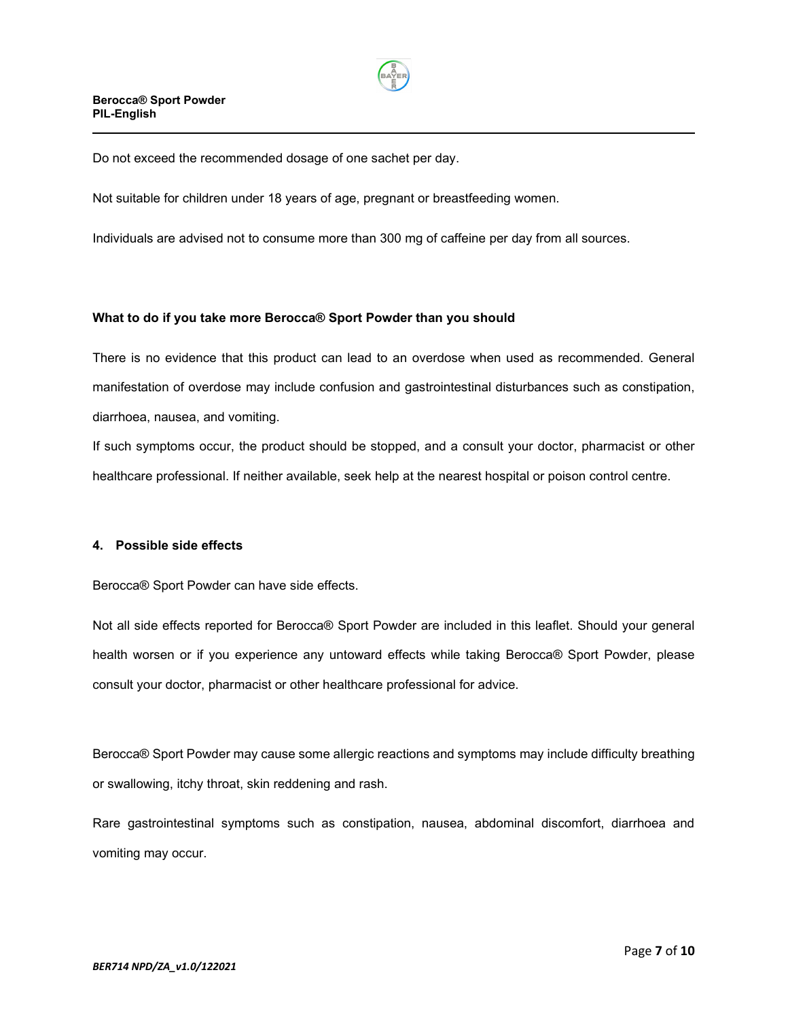

Do not exceed the recommended dosage of one sachet per day.

Not suitable for children under 18 years of age, pregnant or breastfeeding women.

Individuals are advised not to consume more than 300 mg of caffeine per day from all sources.

# **What to do if you take more Berocca® Sport Powder than you should**

There is no evidence that this product can lead to an overdose when used as recommended. General manifestation of overdose may include confusion and gastrointestinal disturbances such as constipation, diarrhoea, nausea, and vomiting.

If such symptoms occur, the product should be stopped, and a consult your doctor, pharmacist or other healthcare professional. If neither available, seek help at the nearest hospital or poison control centre.

#### **4. Possible side effects**

Berocca® Sport Powder can have side effects.

Not all side effects reported for Berocca® Sport Powder are included in this leaflet. Should your general health worsen or if you experience any untoward effects while taking Berocca® Sport Powder, please consult your doctor, pharmacist or other healthcare professional for advice.

Berocca® Sport Powder may cause some allergic reactions and symptoms may include difficulty breathing or swallowing, itchy throat, skin reddening and rash.

Rare gastrointestinal symptoms such as constipation, nausea, abdominal discomfort, diarrhoea and vomiting may occur.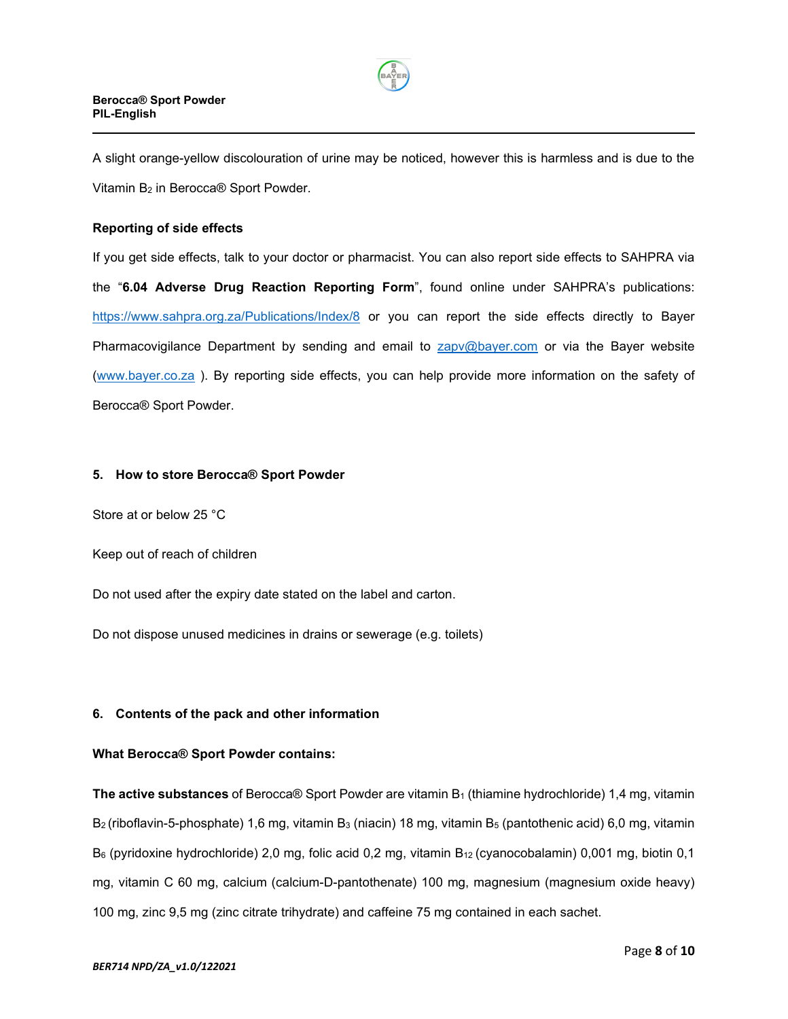

A slight orange-yellow discolouration of urine may be noticed, however this is harmless and is due to the Vitamin B2 in Berocca® Sport Powder.

# **Reporting of side effects**

If you get side effects, talk to your doctor or pharmacist. You can also report side effects to SAHPRA via the "**6.04 Adverse Drug Reaction Reporting Form**", found online under SAHPRA's publications: <https://www.sahpra.org.za/Publications/Index/8> or you can report the side effects directly to Bayer Pharmacovigilance Department by sending and email to [zapv@bayer.com](mailto:zapv@bayer.com) or via the Bayer website [\(www.bayer.co.za](http://www.bayer.co.za/) ). By reporting side effects, you can help provide more information on the safety of Berocca® Sport Powder.

#### **5. How to store Berocca® Sport Powder**

Store at or below 25 °C

Keep out of reach of children

Do not used after the expiry date stated on the label and carton.

Do not dispose unused medicines in drains or sewerage (e.g. toilets)

#### **6. Contents of the pack and other information**

#### **What Berocca® Sport Powder contains:**

**The active substances** of Berocca® Sport Powder are vitamin B1 (thiamine hydrochloride) 1,4 mg, vitamin B<sub>2</sub> (riboflavin-5-phosphate) 1,6 mg, vitamin B<sub>3</sub> (niacin) 18 mg, vitamin B<sub>5</sub> (pantothenic acid) 6,0 mg, vitamin B<sub>6</sub> (pyridoxine hydrochloride) 2,0 mg, folic acid 0,2 mg, vitamin B<sub>12</sub> (cyanocobalamin) 0,001 mg, biotin 0,1 mg, vitamin C 60 mg, calcium (calcium-D-pantothenate) 100 mg, magnesium (magnesium oxide heavy) 100 mg, zinc 9,5 mg (zinc citrate trihydrate) and caffeine 75 mg contained in each sachet.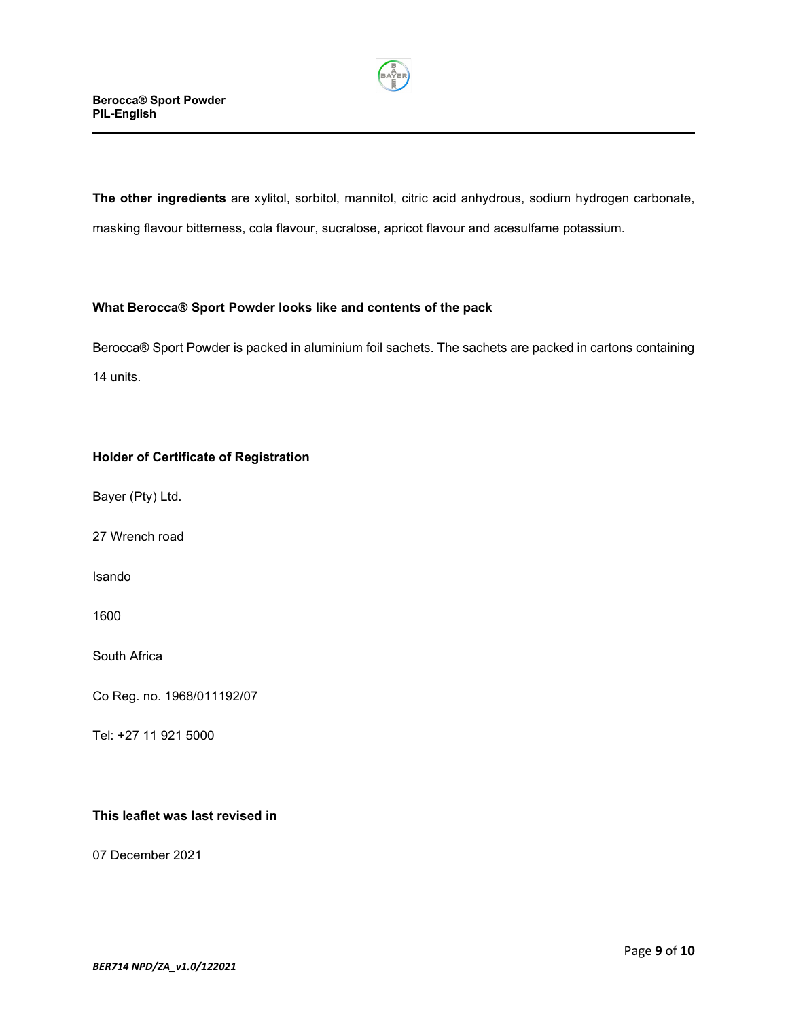

**The other ingredients** are xylitol, sorbitol, mannitol, citric acid anhydrous, sodium hydrogen carbonate, masking flavour bitterness, cola flavour, sucralose, apricot flavour and acesulfame potassium.

# **What Berocca® Sport Powder looks like and contents of the pack**

Berocca® Sport Powder is packed in aluminium foil sachets. The sachets are packed in cartons containing 14 units.

# **Holder of Certificate of Registration**

Bayer (Pty) Ltd.

27 Wrench road

Isando

1600

South Africa

Co Reg. no. 1968/011192/07

Tel: +27 11 921 5000

## **This leaflet was last revised in**

07 December 2021